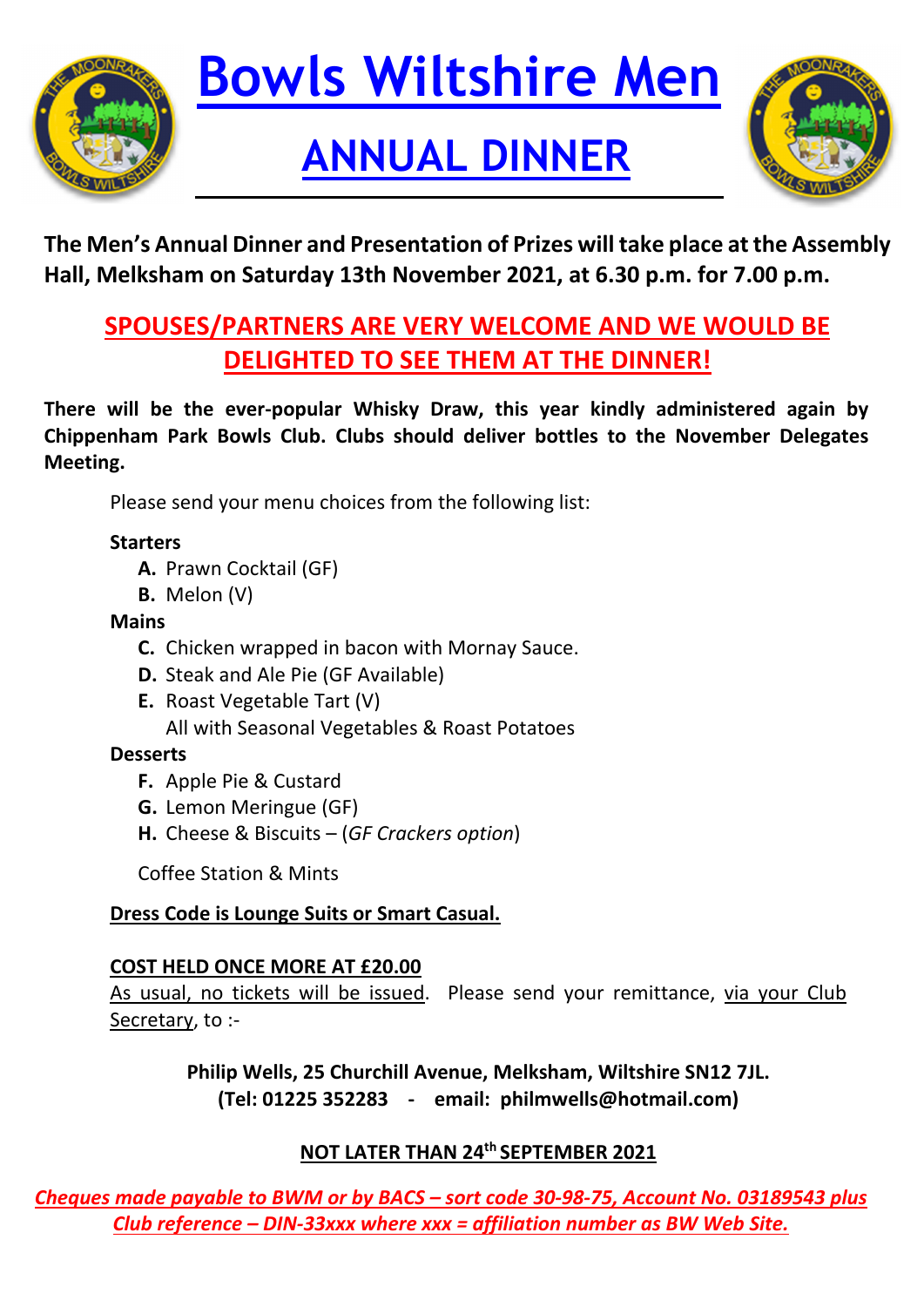

# **Bowls Wiltshire Men**

### **ANNUAL DINNER**



**The Men's Annual Dinner and Presentation of Prizes will take place at the Assembly Hall, Melksham on Saturday 13th November 2021, at 6.30 p.m. for 7.00 p.m.** 

#### **SPOUSES/PARTNERS ARE VERY WELCOME AND WE WOULD BE DELIGHTED TO SEE THEM AT THE DINNER!**

**There will be the ever‐popular Whisky Draw, this year kindly administered again by Chippenham Park Bowls Club. Clubs should deliver bottles to the November Delegates Meeting.**

Please send your menu choices from the following list:

#### **Starters**

- **A.** Prawn Cocktail (GF)
- **B.** Melon (V)

#### **Mains**

- **C.** Chicken wrapped in bacon with Mornay Sauce.
- **D.** Steak and Ale Pie (GF Available)
- **E.** Roast Vegetable Tart (V) All with Seasonal Vegetables & Roast Potatoes

#### **Desserts**

- **F.** Apple Pie & Custard
- **G.** Lemon Meringue (GF)
- **H.** Cheese & Biscuits (*GF Crackers option*)

Coffee Station & Mints

#### **Dress Code is Lounge Suits or Smart Casual.**

#### **COST HELD ONCE MORE AT £20.00**

As usual, no tickets will be issued. Please send your remittance, via your Club Secretary, to :‐

> **Philip Wells, 25 Churchill Avenue, Melksham, Wiltshire SN12 7JL. (Tel: 01225 352283 ‐ email: philmwells@hotmail.com)**

#### **NOT LATER THAN 24th SEPTEMBER 2021**

Cheques made payable to BWM or by BACS - sort code 30-98-75, Account No. 03189543 plus *Club reference – DIN‐33xxx where xxx = affiliation number as BW Web Site.*